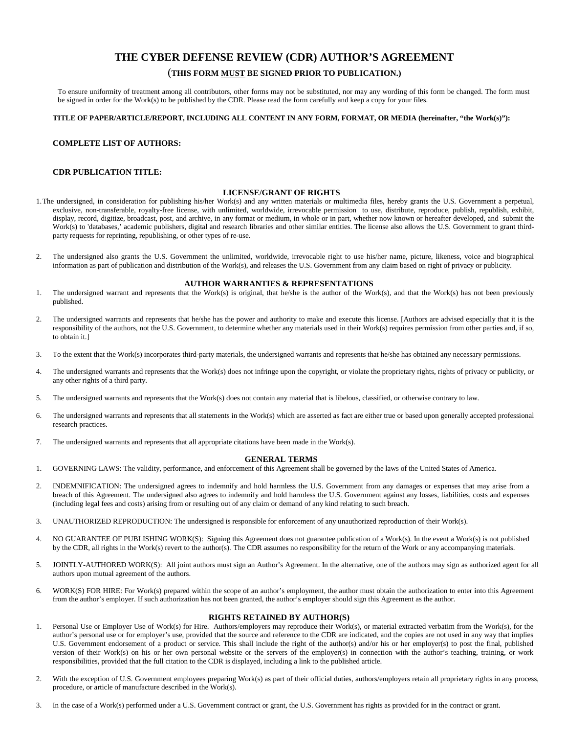# **THE CYBER DEFENSE REVIEW (CDR) AUTHOR'S AGREEMENT**

# (**THIS FORM MUST BE SIGNED PRIOR TO PUBLICATION.)**

To ensure uniformity of treatment among all contributors, other forms may not be substituted, nor may any wording of this form be changed. The form must be signed in order for the Work(s) to be published by the CDR. Please read the form carefully and keep a copy for your files.

## **TITLE OF PAPER/ARTICLE/REPORT, INCLUDING ALL CONTENT IN ANY FORM, FORMAT, OR MEDIA (hereinafter, "the Work(s)"):**

## **COMPLETE LIST OF AUTHORS:**

### **CDR PUBLICATION TITLE:**

#### **LICENSE/GRANT OF RIGHTS**

- 1.The undersigned, in consideration for publishing his/her Work(s) and any written materials or multimedia files, hereby grants the U.S. Government a perpetual, exclusive, non-transferable, royalty-free license, with unlimited, worldwide, irrevocable permission to use, distribute, reproduce, publish, republish, exhibit, display, record, digitize, broadcast, post, and archive, in any format or medium, in whole or in part, whether now known or hereafter developed, and submit the Work(s) to 'databases,' academic publishers, digital and research libraries and other similar entities. The license also allows the U.S. Government to grant thirdparty requests for reprinting, republishing, or other types of re-use.
- 2. The undersigned also grants the U.S. Government the unlimited, worldwide, irrevocable right to use his/her name, picture, likeness, voice and biographical information as part of publication and distribution of the Work(s), and releases the U.S. Government from any claim based on right of privacy or publicity.

#### **AUTHOR WARRANTIES & REPRESENTATIONS**

- 1. The undersigned warrant and represents that the Work(s) is original, that he/she is the author of the Work(s), and that the Work(s) has not been previously published.
- 2. The undersigned warrants and represents that he/she has the power and authority to make and execute this license. [Authors are advised especially that it is the responsibility of the authors, not the U.S. Government, to determine whether any materials used in their Work(s) requires permission from other parties and, if so, to obtain it.]
- 3. To the extent that the Work(s) incorporates third-party materials, the undersigned warrants and represents that he/she has obtained any necessary permissions.
- 4. The undersigned warrants and represents that the Work(s) does not infringe upon the copyright, or violate the proprietary rights, rights of privacy or publicity, or any other rights of a third party.
- 5. The undersigned warrants and represents that the Work(s) does not contain any material that is libelous, classified, or otherwise contrary to law.
- 6. The undersigned warrants and represents that all statements in the Work(s) which are asserted as fact are either true or based upon generally accepted professional research practices.
- 7. The undersigned warrants and represents that all appropriate citations have been made in the Work(s).

#### **GENERAL TERMS**

- 1. GOVERNING LAWS: The validity, performance, and enforcement of this Agreement shall be governed by the laws of the United States of America.
- 2. INDEMNIFICATION: The undersigned agrees to indemnify and hold harmless the U.S. Government from any damages or expenses that may arise from a breach of this Agreement. The undersigned also agrees to indemnify and hold harmless the U.S. Government against any losses, liabilities, costs and expenses (including legal fees and costs) arising from or resulting out of any claim or demand of any kind relating to such breach.
- 3. UNAUTHORIZED REPRODUCTION: The undersigned is responsible for enforcement of any unauthorized reproduction of their Work(s).
- 4. NO GUARANTEE OF PUBLISHING WORK(S): Signing this Agreement does not guarantee publication of a Work(s). In the event a Work(s) is not published by the CDR, all rights in the Work(s) revert to the author(s). The CDR assumes no responsibility for the return of the Work or any accompanying materials.
- 5. JOINTLY-AUTHORED WORK(S): All joint authors must sign an Author's Agreement. In the alternative, one of the authors may sign as authorized agent for all authors upon mutual agreement of the authors.
- 6. WORK(S) FOR HIRE: For Work(s) prepared within the scope of an author's employment, the author must obtain the authorization to enter into this Agreement from the author's employer. If such authorization has not been granted, the author's employer should sign this Agreement as the author.

## **RIGHTS RETAINED BY AUTHOR(S)**

- 1. Personal Use or Employer Use of Work(s) for Hire. Authors/employers may reproduce their Work(s), or material extracted verbatim from the Work(s), for the author's personal use or for employer's use, provided that the source and reference to the CDR are indicated, and the copies are not used in any way that implies U.S. Government endorsement of a product or service. This shall include the right of the author(s) and/or his or her employer(s) to post the final, published version of their Work(s) on his or her own personal website or the servers of the employer(s) in connection with the author's teaching, training, or work responsibilities, provided that the full citation to the CDR is displayed, including a link to the published article.
- 2. With the exception of U.S. Government employees preparing Work(s) as part of their official duties, authors/employers retain all proprietary rights in any process, procedure, or article of manufacture described in the Work(s).
- 3. In the case of a Work(s) performed under a U.S. Government contract or grant, the U.S. Government has rights as provided for in the contract or grant.